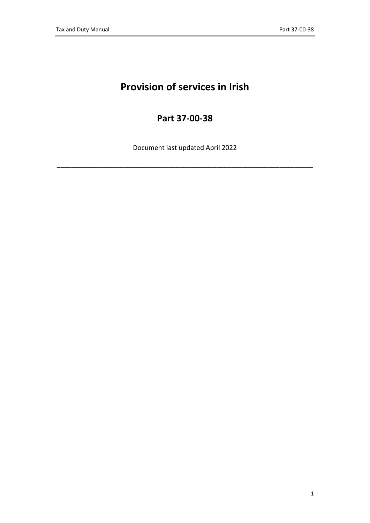# **Provision of services in Irish**

# **Part 37-00-38**

Document last updated April 2022

\_\_\_\_\_\_\_\_\_\_\_\_\_\_\_\_\_\_\_\_\_\_\_\_\_\_\_\_\_\_\_\_\_\_\_\_\_\_\_\_\_\_\_\_\_\_\_\_\_\_\_\_\_\_\_\_\_\_\_\_\_\_\_\_\_\_\_\_\_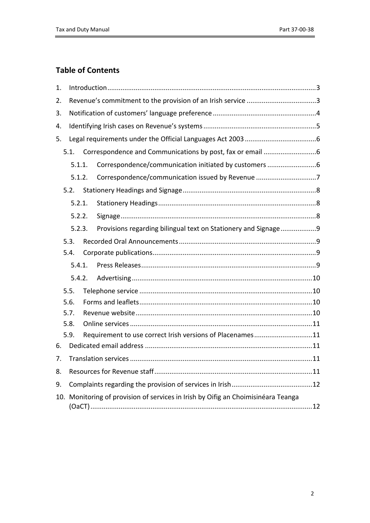# **Table of Contents**

| 1.     |                                                                               |  |                                                                |  |  |  |  |  |
|--------|-------------------------------------------------------------------------------|--|----------------------------------------------------------------|--|--|--|--|--|
| 2.     |                                                                               |  |                                                                |  |  |  |  |  |
| 3.     |                                                                               |  |                                                                |  |  |  |  |  |
| 4.     |                                                                               |  |                                                                |  |  |  |  |  |
| 5.     |                                                                               |  |                                                                |  |  |  |  |  |
|        | 5.1.                                                                          |  |                                                                |  |  |  |  |  |
|        | 5.1.1.                                                                        |  | Correspondence/communication initiated by customers 6          |  |  |  |  |  |
|        | 5.1.2.                                                                        |  | Correspondence/communication issued by Revenue 7               |  |  |  |  |  |
|        | 5.2.                                                                          |  |                                                                |  |  |  |  |  |
|        | 5.2.1.                                                                        |  |                                                                |  |  |  |  |  |
|        | 5.2.2.                                                                        |  |                                                                |  |  |  |  |  |
|        | 5.2.3.                                                                        |  | Provisions regarding bilingual text on Stationery and Signage9 |  |  |  |  |  |
|        | 5.3.                                                                          |  |                                                                |  |  |  |  |  |
|        | 5.4.                                                                          |  |                                                                |  |  |  |  |  |
|        | 5.4.1.                                                                        |  |                                                                |  |  |  |  |  |
| 5.4.2. |                                                                               |  |                                                                |  |  |  |  |  |
|        | 5.5.                                                                          |  |                                                                |  |  |  |  |  |
| 5.6.   |                                                                               |  |                                                                |  |  |  |  |  |
|        | 5.7.                                                                          |  |                                                                |  |  |  |  |  |
|        | 5.8.                                                                          |  |                                                                |  |  |  |  |  |
|        | 5.9.                                                                          |  | Requirement to use correct Irish versions of Placenames11      |  |  |  |  |  |
| 6.     |                                                                               |  |                                                                |  |  |  |  |  |
| 7.     |                                                                               |  |                                                                |  |  |  |  |  |
| 8.     |                                                                               |  |                                                                |  |  |  |  |  |
| 9.     |                                                                               |  |                                                                |  |  |  |  |  |
| 10.    | Monitoring of provision of services in Irish by Oifig an Choimisinéara Teanga |  |                                                                |  |  |  |  |  |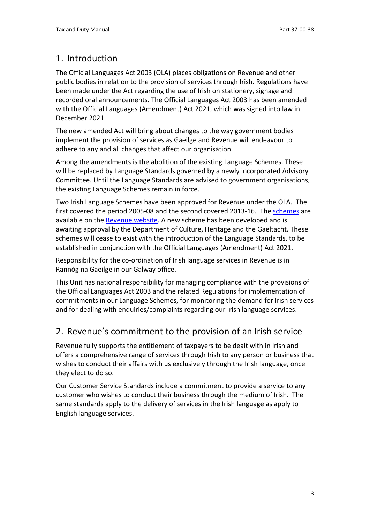# <span id="page-2-0"></span>1. Introduction

The Official Languages Act 2003 (OLA) places obligations on Revenue and other public bodies in relation to the provision of services through Irish. Regulations have been made under the Act regarding the use of Irish on stationery, signage and recorded oral announcements. The Official Languages Act 2003 has been amended with the Official Languages (Amendment) Act 2021, which was signed into law in December 2021.

The new amended Act will bring about changes to the way government bodies implement the provision of services as Gaeilge and Revenue will endeavour to adhere to any and all changes that affect our organisation.

Among the amendments is the abolition of the existing Language Schemes. These will be replaced by Language Standards governed by a newly incorporated Advisory Committee. Until the Language Standards are advised to government organisations, the existing Language Schemes remain in force.

Two Irish Language Schemes have been approved for Revenue under the OLA. The first covered the period 2005-08 and the second covered 2013-16. The [schemes](https://www.revenue.ie/en/corporate/statutory-obligations/official-languages-act/index.aspx) are available on the [Revenue](http://www.revenue.ie/en/about/publications/scheme-2013-2016-official-languages-act2003.pdf) [website.](http://www.revenue.ie/en/about/publications/scheme-2013-2016-official-languages-act2003.pdf) A new scheme has been developed and is awaiting approval by the Department of Culture, Heritage and the Gaeltacht. These schemes will cease to exist with the introduction of the Language Standards, to be established in conjunction with the Official Languages (Amendment) Act 2021.

Responsibility for the co-ordination of Irish language services in Revenue is in Rannóg na Gaeilge in our Galway office.

This Unit has national responsibility for managing compliance with the provisions of the Official Languages Act 2003 and the related Regulations for implementation of commitments in our Language Schemes, for monitoring the demand for Irish services and for dealing with enquiries/complaints regarding our Irish language services.

# <span id="page-2-1"></span>2. Revenue's commitment to the provision of an Irish service

Revenue fully supports the entitlement of taxpayers to be dealt with in Irish and offers a comprehensive range of services through Irish to any person or business that wishes to conduct their affairs with us exclusively through the Irish language, once they elect to do so.

Our Customer Service Standards include a commitment to provide a service to any customer who wishes to conduct their business through the medium of Irish. The same standards apply to the delivery of services in the Irish language as apply to English language services.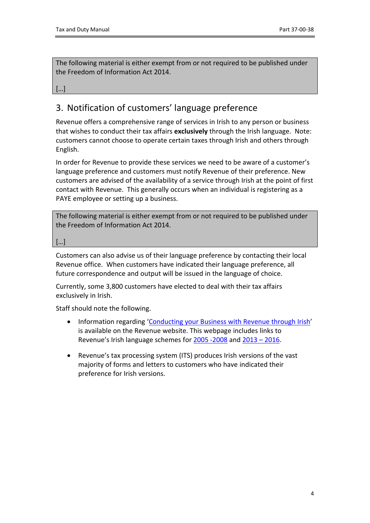The following material is either exempt from or not required to be published under the Freedom of Information Act 2014.

[…]

# <span id="page-3-0"></span>3. Notification of customers' language preference

Revenue offers a comprehensive range of services in Irish to any person or business that wishes to conduct their tax affairs **exclusively** through the Irish language. Note: customers cannot choose to operate certain taxes through Irish and others through English.

In order for Revenue to provide these services we need to be aware of a customer's language preference and customers must notify Revenue of their preference. New customers are advised of the availability of a service through Irish at the point of first contact with Revenue. This generally occurs when an individual is registering as a PAYE employee or setting up a business.

The following material is either exempt from or not required to be published under the Freedom of Information Act 2014.

[…]

Customers can also advise us of their language preference by contacting their local Revenue office. When customers have indicated their language preference, all future correspondence and output will be issued in the language of choice.

Currently, some 3,800 customers have elected to deal with their tax affairs exclusively in Irish.

Staff should note the following.

- Information regarding ['Conducting](https://www.revenue.ie/en/corporate/statutory-obligations/official-languages-act/index.aspx) [your](https://www.revenue.ie/en/corporate/statutory-obligations/official-languages-act/index.aspx) [Business](https://www.revenue.ie/en/corporate/statutory-obligations/official-languages-act/index.aspx) [with](https://www.revenue.ie/en/corporate/statutory-obligations/official-languages-act/index.aspx) [Revenue](https://www.revenue.ie/en/corporate/statutory-obligations/official-languages-act/index.aspx) [through](https://www.revenue.ie/en/corporate/statutory-obligations/official-languages-act/index.aspx) [Irish](https://www.revenue.ie/en/corporate/statutory-obligations/official-languages-act/index.aspx)' is available on the Revenue website. This webpage includes links to Revenue's Irish language schemes for [2005](https://www.revenue.ie/en/corporate/statutory-obligations/official-languages-act/scheme2005-2008-official-languages-act2003.pdf) [-2008](https://www.revenue.ie/en/corporate/statutory-obligations/official-languages-act/scheme2005-2008-official-languages-act2003.pdf) and [2013](https://www.revenue.ie/en/corporate/statutory-obligations/official-languages-act/scheme-2013-2016-official-languages-act2003.pdf) [–](https://www.revenue.ie/en/corporate/statutory-obligations/official-languages-act/scheme-2013-2016-official-languages-act2003.pdf) [2016](https://www.revenue.ie/en/corporate/statutory-obligations/official-languages-act/scheme-2013-2016-official-languages-act2003.pdf).
- Revenue's tax processing system (ITS) produces Irish versions of the vast majority of forms and letters to customers who have indicated their preference for Irish versions.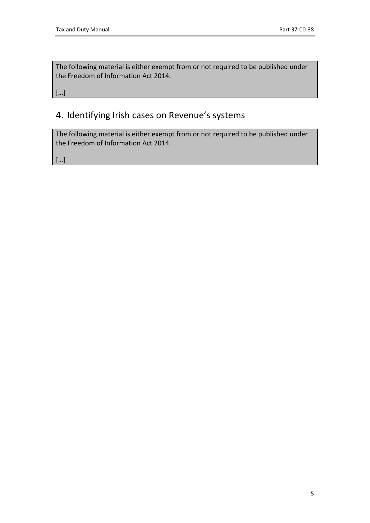The following material is either exempt from or not required to be published under the Freedom of Information Act 2014.

[…]

# <span id="page-4-0"></span>4. Identifying Irish cases on Revenue's systems

The following material is either exempt from or not required to be published under the Freedom of Information Act 2014.

[…]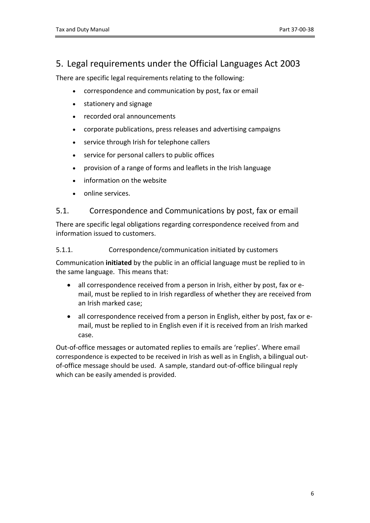### <span id="page-5-0"></span>5. Legal requirements under the Official Languages Act 2003

There are specific legal requirements relating to the following:

- correspondence and communication by post, fax or email
- stationery and signage
- recorded oral announcements
- corporate publications, press releases and advertising campaigns
- service through Irish for telephone callers
- service for personal callers to public offices
- provision of a range of forms and leaflets in the Irish language
- information on the website
- online services.

### <span id="page-5-1"></span>5.1. Correspondence and Communications by post, fax or email

There are specific legal obligations regarding correspondence received from and information issued to customers.

#### <span id="page-5-2"></span>5.1.1. Correspondence/communication initiated by customers

Communication **initiated** by the public in an official language must be replied to in the same language. This means that:

- all correspondence received from a person in Irish, either by post, fax or email, must be replied to in Irish regardless of whether they are received from an Irish marked case;
- all correspondence received from a person in English, either by post, fax or email, must be replied to in English even if it is received from an Irish marked case.

Out-of-office messages or automated replies to emails are 'replies'. Where email correspondence is expected to be received in Irish as well as in English, a bilingual outof-office message should be used. A sample, standard out-of-office bilingual reply which can be easily amended is provided.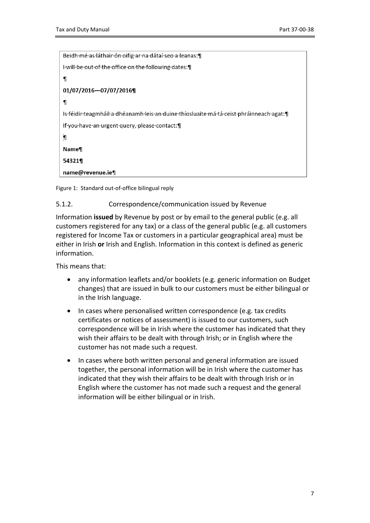Beidh·mé·as·láthair·ón·oifig·ar·na·dátaí·seo·a·leanas:¶ I will be out of the office on the following dates.  $\P$ 01/07/2016-07/07/2016¶  $\mathbf{I}$ Is féidir teagmháil a dhéanamh leis an duine thíosluaite má tá ceist phráinneach agat: [1] If you have an urgent query, please contact:  $\blacksquare$ **Name** 54321¶ name@revenue.ie¶

Figure 1: Standard out-of-office bilingual reply

#### <span id="page-6-0"></span>5.1.2. Correspondence/communication issued by Revenue

Information **issued** by Revenue by post or by email to the general public (e.g. all customers registered for any tax) or a class of the general public (e.g. all customers registered for Income Tax or customers in a particular geographical area) must be either in Irish **or** Irish and English. Information in this context is defined as generic information.

This means that:

- any information leaflets and/or booklets (e.g. generic information on Budget changes) that are issued in bulk to our customers must be either bilingual or in the Irish language.
- In cases where personalised written correspondence (e.g. tax credits certificates or notices of assessment) is issued to our customers, such correspondence will be in Irish where the customer has indicated that they wish their affairs to be dealt with through Irish; or in English where the customer has not made such a request.
- In cases where both written personal and general information are issued together, the personal information will be in Irish where the customer has indicated that they wish their affairs to be dealt with through Irish or in English where the customer has not made such a request and the general information will be either bilingual or in Irish.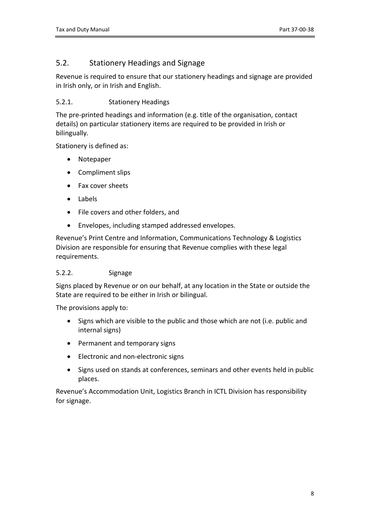### <span id="page-7-0"></span>5.2. Stationery Headings and Signage

Revenue is required to ensure that our stationery headings and signage are provided in Irish only, or in Irish and English.

#### <span id="page-7-1"></span>5.2.1. Stationery Headings

The pre-printed headings and information (e.g. title of the organisation, contact details) on particular stationery items are required to be provided in Irish or bilingually.

Stationery is defined as:

- Notepaper
- Compliment slips
- Fax cover sheets
- Labels
- File covers and other folders, and
- Envelopes, including stamped addressed envelopes.

Revenue's Print Centre and Information, Communications Technology & Logistics Division are responsible for ensuring that Revenue complies with these legal requirements.

#### <span id="page-7-2"></span>5.2.2. Signage

Signs placed by Revenue or on our behalf, at any location in the State or outside the State are required to be either in Irish or bilingual.

The provisions apply to:

- Signs which are visible to the public and those which are not (i.e. public and internal signs)
- Permanent and temporary signs
- Electronic and non-electronic signs
- Signs used on stands at conferences, seminars and other events held in public places.

Revenue's Accommodation Unit, Logistics Branch in ICTL Division has responsibility for signage.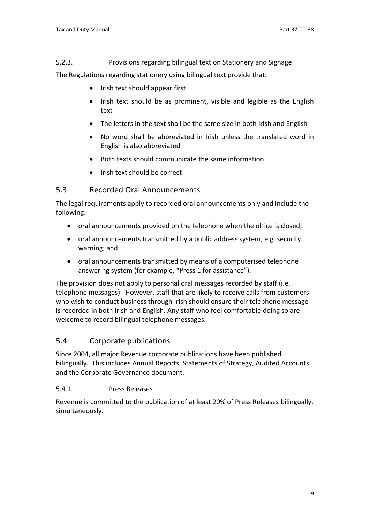<span id="page-8-0"></span>5.2.3. Provisions regarding bilingual text on Stationery and Signage

The Regulations regarding stationery using bilingual text provide that:

- Irish text should appear first
- Irish text should be as prominent, visible and legible as the English text
- The letters in the text shall be the same size in both Irish and English
- No word shall be abbreviated in Irish unless the translated word in English is also abbreviated
- Both texts should communicate the same information
- Irish text should be correct

### <span id="page-8-1"></span>5.3. Recorded Oral Announcements

The legal requirements apply to recorded oral announcements only and include the following:

- oral announcements provided on the telephone when the office is closed;
- oral announcements transmitted by a public address system, e.g. security warning; and
- oral announcements transmitted by means of a computerised telephone answering system (for example, "Press 1 for assistance").

The provision does not apply to personal oral messages recorded by staff (i.e. telephone messages). However, staff that are likely to receive calls from customers who wish to conduct business through Irish should ensure their telephone message is recorded in both Irish and English. Any staff who feel comfortable doing so are welcome to record bilingual telephone messages.

### <span id="page-8-2"></span>5.4. Corporate publications

Since 2004, all major Revenue corporate publications have been published bilingually. This includes Annual Reports, Statements of Strategy, Audited Accounts and the Corporate Governance document.

### <span id="page-8-3"></span>5.4.1. Press Releases

Revenue is committed to the publication of at least 20% of Press Releases bilingually, simultaneously.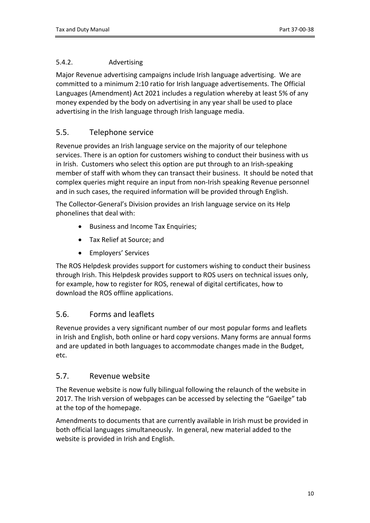#### <span id="page-9-0"></span>5.4.2. Advertising

Major Revenue advertising campaigns include Irish language advertising. We are committed to a minimum 2:10 ratio for Irish language advertisements. The Official Languages (Amendment) Act 2021 includes a regulation whereby at least 5% of any money expended by the body on advertising in any year shall be used to place advertising in the Irish language through Irish language media.

### <span id="page-9-1"></span>5.5. Telephone service

Revenue provides an Irish language service on the majority of our telephone services. There is an option for customers wishing to conduct their business with us in Irish. Customers who select this option are put through to an Irish-speaking member of staff with whom they can transact their business. It should be noted that complex queries might require an input from non-Irish speaking Revenue personnel and in such cases, the required information will be provided through English.

The Collector-General's Division provides an Irish language service on its Help phonelines that deal with:

- Business and Income Tax Enquiries;
- Tax Relief at Source; and
- Employers' Services

The ROS Helpdesk provides support for customers wishing to conduct their business through Irish. This Helpdesk provides support to ROS users on technical issues only, for example, how to register for ROS, renewal of digital certificates, how to download the ROS offline applications.

### <span id="page-9-2"></span>5.6. Forms and leaflets

Revenue provides a very significant number of our most popular forms and leaflets in Irish and English, both online or hard copy versions. Many forms are annual forms and are updated in both languages to accommodate changes made in the Budget, etc.

### <span id="page-9-3"></span>5.7. Revenue website

The Revenue website is now fully bilingual following the relaunch of the website in 2017. The Irish version of webpages can be accessed by selecting the "Gaeilge" tab at the top of the homepage.

Amendments to documents that are currently available in Irish must be provided in both official languages simultaneously. In general, new material added to the website is provided in Irish and English.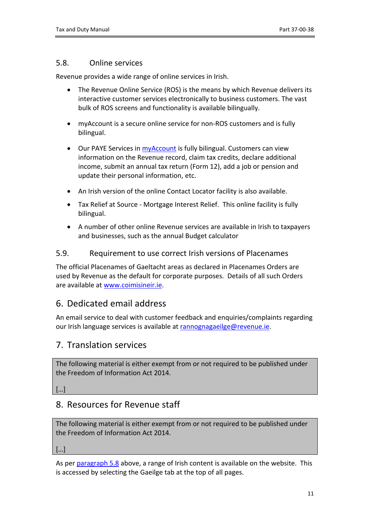#### <span id="page-10-0"></span>5.8. Online services

Revenue provides a wide range of online services in Irish.

- The Revenue Online Service (ROS) is the means by which Revenue delivers its interactive customer services electronically to business customers. The vast bulk of ROS screens and functionality is available bilingually.
- myAccount is a secure online service for non-ROS customers and is fully bilingual.
- Our PAYE Services in [myAccount](https://www.revenue.ie/en/online-services/index.aspx) is fully bilingual. Customers can view information on the Revenue record, claim tax credits, declare additional income, submit an annual tax return (Form 12), add a job or pension and update their personal information, etc.
- An Irish version of the online Contact Locator facility is also available.
- Tax Relief at Source Mortgage Interest Relief. This online facility is fully bilingual.
- A number of other online Revenue services are available in Irish to taxpayers and businesses, such as the annual Budget calculator

#### <span id="page-10-1"></span>5.9. Requirement to use correct Irish versions of Placenames

The official Placenames of Gaeltacht areas as declared in Placenames Orders are used by Revenue as the default for corporate purposes. Details of all such Orders are available at [www.coimisineir.ie.](http://www.coimisineir.ie/)

### <span id="page-10-2"></span>6. Dedicated email address

An email service to deal with customer feedback and enquiries/complaints regarding our Irish language services is available at [rannognagaeilge@revenue.ie.](mailto:rannognagaeilge@revenue.ie)

### <span id="page-10-3"></span>7. Translation services

The following material is either exempt from or not required to be published under the Freedom of Information Act 2014.

[…]

### <span id="page-10-4"></span>8. Resources for Revenue staff

The following material is either exempt from or not required to be published under the Freedom of Information Act 2014.

[…]

As per [paragraph](#page-9-3) [5.8](#page-9-3) above, a range of Irish content is available on the website. This is accessed by selecting the Gaeilge tab at the top of all pages.